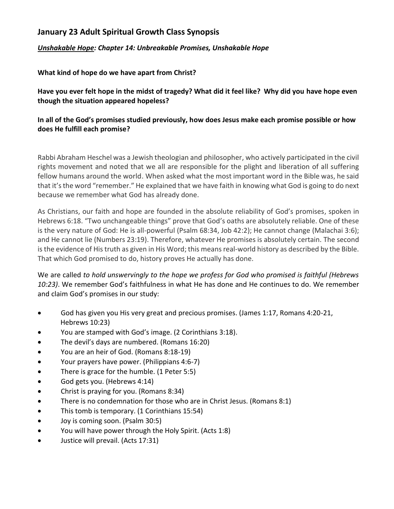## **January 23 Adult Spiritual Growth Class Synopsis**

## *Unshakable Hope: Chapter 14: Unbreakable Promises, Unshakable Hope*

**What kind of hope do we have apart from Christ?**

**Have you ever felt hope in the midst of tragedy? What did it feel like? Why did you have hope even though the situation appeared hopeless?**

## **In all of the God's promises studied previously, how does Jesus make each promise possible or how does He fulfill each promise?**

Rabbi Abraham Heschel was a Jewish theologian and philosopher, who actively participated in the civil rights movement and noted that we all are responsible for the plight and liberation of all suffering fellow humans around the world. When asked what the most important word in the Bible was, he said that it's the word "remember." He explained that we have faith in knowing what God is going to do next because we remember what God has already done.

As Christians, our faith and hope are founded in the absolute reliability of God's promises, spoken in Hebrews 6:18. "Two unchangeable things" prove that God's oaths are absolutely reliable. One of these is the very nature of God: He is all-powerful (Psalm 68:34, Job 42:2); He cannot change (Malachai 3:6); and He cannot lie (Numbers 23:19). Therefore, whatever He promises is absolutely certain. The second is the evidence of His truth as given in His Word; this means real-world history as described by the Bible. That which God promised to do, history proves He actually has done.

We are called *to hold unswervingly to the hope we profess for God who promised is faithful (Hebrews 10:23)*. We remember God's faithfulness in what He has done and He continues to do. We remember and claim God's promises in our study:

- God has given you His very great and precious promises. (James 1:17, Romans 4:20-21, Hebrews 10:23)
- You are stamped with God's image. (2 Corinthians 3:18).
- The devil's days are numbered. (Romans 16:20)
- You are an heir of God. (Romans 8:18-19)
- Your prayers have power. (Philippians 4:6-7)
- There is grace for the humble. (1 Peter 5:5)
- God gets you. (Hebrews 4:14)
- Christ is praying for you. (Romans 8:34)
- There is no condemnation for those who are in Christ Jesus. (Romans 8:1)
- This tomb is temporary. (1 Corinthians 15:54)
- Joy is coming soon. (Psalm 30:5)
- You will have power through the Holy Spirit. (Acts 1:8)
- Justice will prevail. (Acts 17:31)